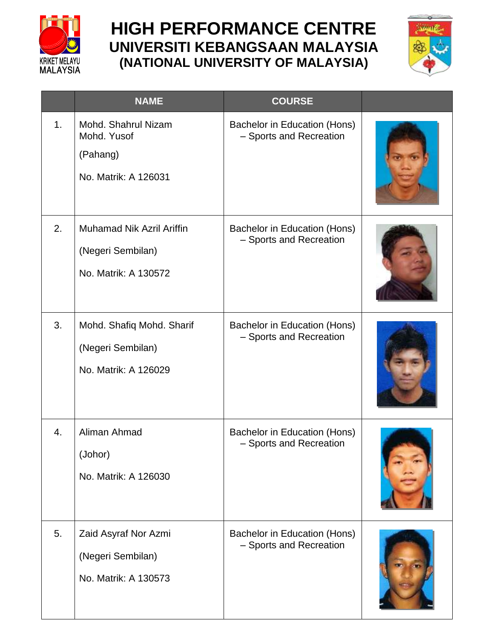

## **HIGH PERFORMANCE CENTRE UNIVERSITI KEBANGSAAN MALAYSIA (NATIONAL UNIVERSITY OF MALAYSIA)**



|    | <b>NAME</b>                                                                   | <b>COURSE</b>                                           |  |
|----|-------------------------------------------------------------------------------|---------------------------------------------------------|--|
| 1. | Mohd. Shahrul Nizam<br>Mohd. Yusof<br>(Pahang)<br>No. Matrik: A 126031        | Bachelor in Education (Hons)<br>- Sports and Recreation |  |
| 2. | <b>Muhamad Nik Azril Ariffin</b><br>(Negeri Sembilan)<br>No. Matrik: A 130572 | Bachelor in Education (Hons)<br>- Sports and Recreation |  |
| 3. | Mohd. Shafiq Mohd. Sharif<br>(Negeri Sembilan)<br>No. Matrik: A 126029        | Bachelor in Education (Hons)<br>- Sports and Recreation |  |
| 4. | Aliman Ahmad<br>(Johor)<br>No. Matrik: A 126030                               | Bachelor in Education (Hons)<br>- Sports and Recreation |  |
| 5. | Zaid Asyraf Nor Azmi<br>(Negeri Sembilan)<br>No. Matrik: A 130573             | Bachelor in Education (Hons)<br>- Sports and Recreation |  |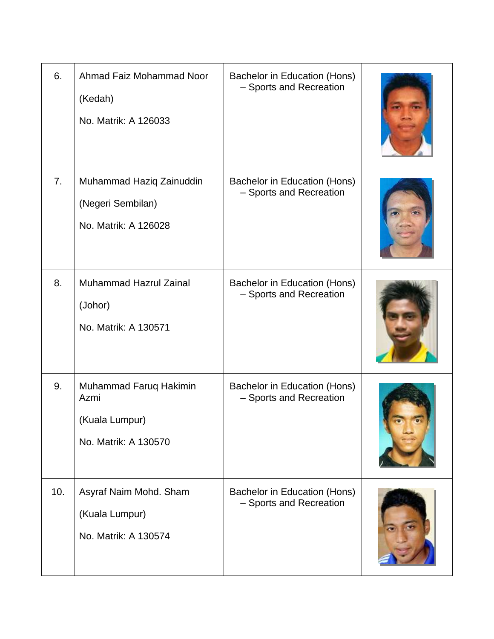| 6.  | Ahmad Faiz Mohammad Noor<br>(Kedah)<br>No. Matrik: A 126033              | Bachelor in Education (Hons)<br>- Sports and Recreation |  |
|-----|--------------------------------------------------------------------------|---------------------------------------------------------|--|
| 7.  | Muhammad Haziq Zainuddin<br>(Negeri Sembilan)<br>No. Matrik: A 126028    | Bachelor in Education (Hons)<br>- Sports and Recreation |  |
| 8.  | <b>Muhammad Hazrul Zainal</b><br>(Johor)<br>No. Matrik: A 130571         | Bachelor in Education (Hons)<br>- Sports and Recreation |  |
| 9.  | Muhammad Faruq Hakimin<br>Azmi<br>(Kuala Lumpur)<br>No. Matrik: A 130570 | Bachelor in Education (Hons)<br>- Sports and Recreation |  |
| 10. | Asyraf Naim Mohd. Sham<br>(Kuala Lumpur)<br>No. Matrik: A 130574         | Bachelor in Education (Hons)<br>- Sports and Recreation |  |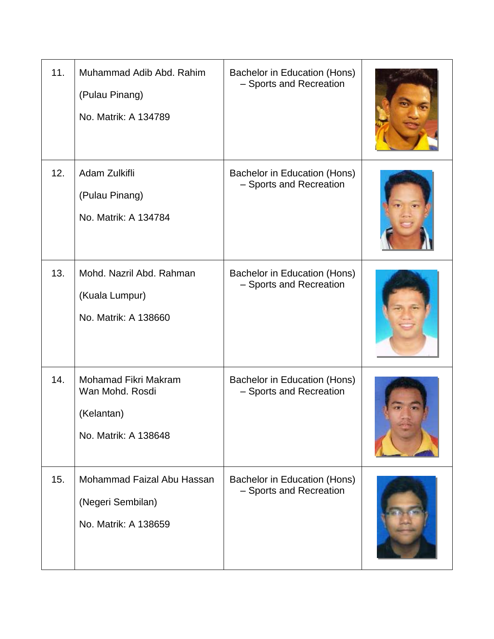| 11. | Muhammad Adib Abd. Rahim<br>(Pulau Pinang)<br>No. Matrik: A 134789            | Bachelor in Education (Hons)<br>- Sports and Recreation |  |
|-----|-------------------------------------------------------------------------------|---------------------------------------------------------|--|
| 12. | Adam Zulkifli<br>(Pulau Pinang)<br>No. Matrik: A 134784                       | Bachelor in Education (Hons)<br>- Sports and Recreation |  |
| 13. | Mohd. Nazril Abd. Rahman<br>(Kuala Lumpur)<br>No. Matrik: A 138660            | Bachelor in Education (Hons)<br>- Sports and Recreation |  |
| 14. | Mohamad Fikri Makram<br>Wan Mohd. Rosdi<br>(Kelantan)<br>No. Matrik: A 138648 | Bachelor in Education (Hons)<br>- Sports and Recreation |  |
| 15. | Mohammad Faizal Abu Hassan<br>(Negeri Sembilan)<br>No. Matrik: A 138659       | Bachelor in Education (Hons)<br>- Sports and Recreation |  |